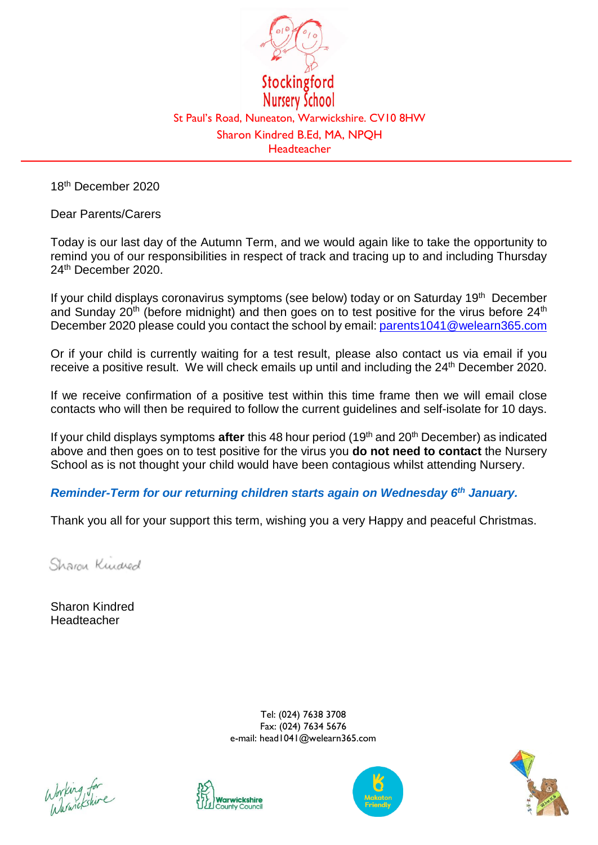

18th December 2020

Dear Parents/Carers

Today is our last day of the Autumn Term, and we would again like to take the opportunity to remind you of our responsibilities in respect of track and tracing up to and including Thursday 24th December 2020.

If your child displays coronavirus symptoms (see below) today or on Saturday  $19<sup>th</sup>$  December and Sunday  $20<sup>th</sup>$  (before midnight) and then goes on to test positive for the virus before  $24<sup>th</sup>$ December 2020 please could you contact the school by email: [parents1041@welearn365.com](mailto:parents1041@welearn365.com)

Or if your child is currently waiting for a test result, please also contact us via email if you receive a positive result. We will check emails up until and including the 24<sup>th</sup> December 2020.

If we receive confirmation of a positive test within this time frame then we will email close contacts who will then be required to follow the current guidelines and self-isolate for 10 days.

If your child displays symptoms **after** this 48 hour period (19<sup>th</sup> and 20<sup>th</sup> December) as indicated above and then goes on to test positive for the virus you **do not need to contact** the Nursery School as is not thought your child would have been contagious whilst attending Nursery.

*Reminder-Term for our returning children starts again on Wednesday 6 th January.*

Thank you all for your support this term, wishing you a very Happy and peaceful Christmas.

Sharon Kundred

Sharon Kindred Headteacher

> Tel: (024) 7638 3708 Fax: (024) 7634 5676 e-mail: head1041@welearn365.com

Working for<br>Warwickshire